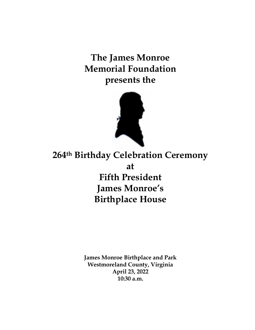**The James Monroe Memorial Foundation presents the**



**264th Birthday Celebration Ceremony at Fifth President James Monroe's Birthplace House**

> **James Monroe Birthplace and Park Westmoreland County, Virginia April 23, 2022 10:30 a.m.**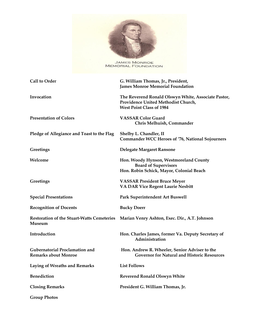

JAMES MONROE<br>MEMORIAL FOUNDATION

| <b>Call to Order</b>                                                 | G. William Thomas, Jr., President,<br><b>James Monroe Memorial Foundation</b>                                                 |
|----------------------------------------------------------------------|-------------------------------------------------------------------------------------------------------------------------------|
| Invocation                                                           | The Reverend Ronald Olswyn White, Associate Pastor,<br>Providence United Methodist Church,<br><b>West Point Class of 1984</b> |
| <b>Presentation of Colors</b>                                        | <b>VASSAR Color Guard</b><br>Chris Melhuish, Commander                                                                        |
| Pledge of Allegiance and Toast to the Flag                           | Shelby L. Chandler, II<br><b>Commander WCC Heroes of '76, National Sojourners</b>                                             |
| Greetings                                                            | Delegate Margaret Ransone                                                                                                     |
| Welcome                                                              | Hon. Woody Hynson, Westmoreland County<br><b>Board of Supervisors</b><br>Hon. Robin Schick, Mayor, Colonial Beach             |
| Greetings                                                            | <b>VASSAR President Bruce Meyer</b><br>VA DAR Vice Regent Laurie Nesbitt                                                      |
| <b>Special Presentations</b>                                         | Park Superintendent Art Buswell                                                                                               |
| <b>Recognition of Docents</b>                                        | <b>Bucky Doerr</b>                                                                                                            |
| <b>Restoration of the Stuart-Watts Cemeteries</b><br>Museum          | Marian Venry Ashton, Exec. Dir., A.T. Johnson                                                                                 |
| Introduction                                                         | Hon. Charles James, former Va. Deputy Secretary of<br>Administration                                                          |
| <b>Gubernatorial Proclamation and</b><br><b>Remarks about Monroe</b> | Hon. Andrew R. Wheeler, Senior Adviser to the<br><b>Governor for Natural and Historic Resources</b>                           |
| <b>Laying of Wreaths and Remarks</b>                                 | <b>List Follows</b>                                                                                                           |
| <b>Benediction</b>                                                   | Reverend Ronald Olswyn White                                                                                                  |
| <b>Closing Remarks</b>                                               | President G. William Thomas, Jr.                                                                                              |
| <b>Group Photos</b>                                                  |                                                                                                                               |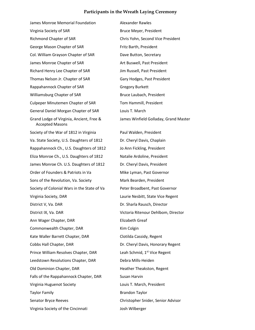## **Participants in the Wreath Laying Ceremony**

James Monroe Memorial Foundation **Alexander Rawles** Virginia Society of SAR Bruce Meyer, President Richmond Chapter of SAR Chris Yohn, Second Vice President George Mason Chapter of SAR Fritz Barth, President Col. William Grayson Chapter of SAR Dave Button, Secretary James Monroe Chapter of SAR Art Buswell, Past President Richard Henry Lee Chapter of SAR Jim Russell, Past President Thomas Nelson Jr. Chapter of SAR Gary Hodges, Past President Rappahannock Chapter of SAR Gregory Burkett Williamsburg Chapter of SAR Bruce Laubach, President Culpeper Minutemen Chapter of SAR Tom Hammill, President General Daniel Morgan Chapter of SAR Louis T. March Grand Lodge of Virginia, Ancient, Free & James Winfield Golladay, Grand Master Accepted Masons Society of the War of 1812 in Virginia Paul Walden, President Va. State Society, U.S. Daughters of 1812 Dr. Cheryl Davis, Chaplain Rappahannock Ch., U.S. Daughters of 1812 Jo Ann Fickling, President Eliza Monroe Ch., U.S. Daughters of 1812 Natalie Ardoline, President James Monroe Ch. U.S. Daughters of 1812 Dr. Cheryl Davis, President Order of Founders & Patriots in Va Mike Lyman, Past Governor Sons of the Revolution, Va. Society Mark Bearden, President Society of Colonial Wars in the State of Va Peter Broadbent, Past Governor Virginia Society, DAR Laurie Nesbitt, State Vice Regent District V, Va. DAR DR. Sharla Rausch, Director District IX, Va. DAR Victoria Ritenour Dehlbom, Director Ann Wager Chapter, DAR Elizabeth Greaf Commonwealth Chapter, DAR Kim Colgin Kate Waller Barrett Chapter, DAR Clotilda Cassidy, Regent Cobbs Hall Chapter, DAR DR. Cheryl Davis, Honorary Regent Prince William Resolves Chapter, DAR Leah Schmid, 1<sup>st</sup> Vice Regent Leedstown Resolutions Chapter, DAR Debra Mills-Heiden Old Dominion Chapter, DAR Heather Theakston, Regent Falls of the Rappahannock Chapter, DAR Susan Harvin Virginia Huguenot Society Louis T. March, President Taylor Family **Brandon Taylor** Senator Bryce Reeves Christopher Snider, Senior Advisor Virginia Society of the Cincinnati Josh Wilberger